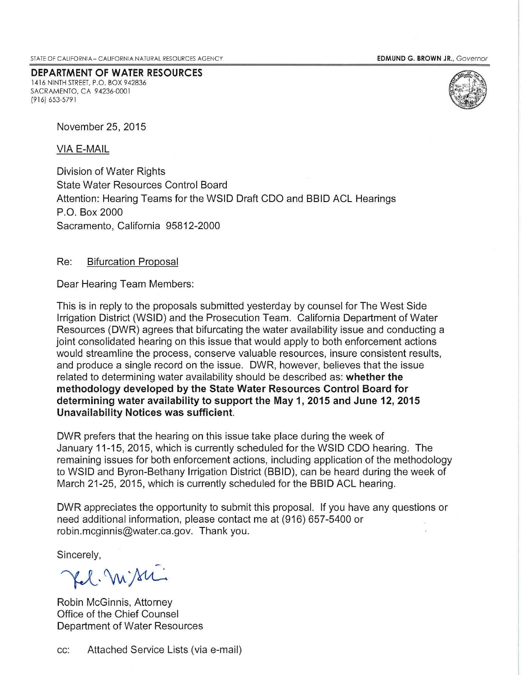EDMUND G. BROWN JR., Governor

**DEPARTMENT OF WATER RESOURCES**  1416 NINTH STREET, P.O. BOX 942836 SACRAMENTO, CA 94236-0001 (9 16) 653-579 1



November 25, 2015

VIA E-MAIL

Division of Water Rights State Water Resources Control Board Attention: Hearing Teams for the WSID Draft COO and BBID ACL Hearings P.O. Box 2000 Sacramento, California 95812-2000

## Re: Bifurcation Proposal

Dear Hearing Team Members:

This is in reply to the proposals submitted yesterday by counsel for The West Side Irrigation District (WSID) and the Prosecution Team. California Department of Water Resources (DWR) agrees that bifurcating the water availability issue and conducting a joint consolidated hearing on this issue that would apply to both enforcement actions would streamline the process, conserve valuable resources, insure consistent results, and produce a single record on the issue. DWR, however, believes that the issue related to determining water availability should be described as: **whether the methodology developed by the State Water Resources Control Board for determining water availability to support the May 1, 2015 and June 12, 2015 Unavailability Notices was sufficient.** 

DWR prefers that the hearing on this issue take place during the week of January 11-15, 2015, which is currently scheduled for the WSID COO hearing. The remaining issues for both enforcement actions, including application of the methodology to WSID and Byron-Bethany Irrigation District (BBID), can be heard during the week of March 21-25, 2015, which is currently scheduled for the BBID ACL hearing.

DWR appreciates the opportunity to submit this proposal. If you have any questions or need additional information, please contact me at (916) 657-5400 or robin.mcginnis@water.ca.gov. Thank you.

Sincerely,

Kel. Missi

Robin McGinnis, Attorney Office of the Chief Counsel Department of Water Resources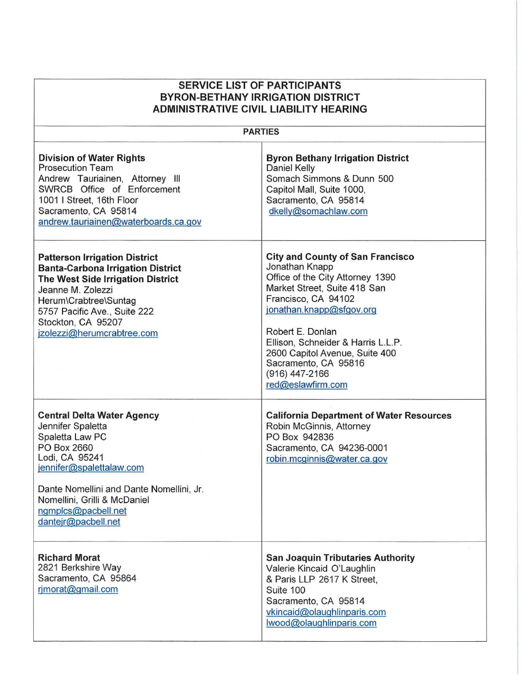| <b>SERVICE LIST OF PARTICIPANTS</b><br><b>BYRON-BETHANY IRRIGATION DISTRICT</b><br><b>ADMINISTRATIVE CIVIL LIABILITY HEARING</b>                                                                                                                                 |                                                                                                                                                                                                                                                                                                                                             |
|------------------------------------------------------------------------------------------------------------------------------------------------------------------------------------------------------------------------------------------------------------------|---------------------------------------------------------------------------------------------------------------------------------------------------------------------------------------------------------------------------------------------------------------------------------------------------------------------------------------------|
| <b>PARTIES</b>                                                                                                                                                                                                                                                   |                                                                                                                                                                                                                                                                                                                                             |
| <b>Division of Water Rights</b><br><b>Prosecution Team</b><br>Andrew Tauriainen, Attorney III<br>SWRCB Office of Enforcement<br>1001 I Street, 16th Floor<br>Sacramento, CA 95814<br>andrew.tauriainen@waterboards.ca.gov                                        | <b>Byron Bethany Irrigation District</b><br>Daniel Kelly<br>Somach Simmons & Dunn 500<br>Capitol Mall, Suite 1000,<br>Sacramento, CA 95814<br>dkelly@somachlaw.com                                                                                                                                                                          |
| <b>Patterson Irrigation District</b><br><b>Banta-Carbona Irrigation District</b><br>The West Side Irrigation District<br>Jeanne M. Zolezzi<br>Herum\Crabtree\Suntag<br>5757 Pacific Ave., Suite 222<br>Stockton, CA 95207<br>jzolezzi@herumcrabtree.com          | <b>City and County of San Francisco</b><br>Jonathan Knapp<br>Office of the City Attorney 1390<br>Market Street, Suite 418 San<br>Francisco, CA 94102<br>jonathan.knapp@sfgov.org<br>Robert E. Donlan<br>Ellison, Schneider & Harris L.L.P.<br>2600 Capitol Avenue, Suite 400<br>Sacramento, CA 95816<br>(916) 447-2166<br>red@eslawfirm.com |
| <b>Central Delta Water Agency</b><br>Jennifer Spaletta<br>Spaletta Law PC<br>PO Box 2660<br>Lodi, CA 95241<br>jennifer@spalettalaw.com<br>Dante Nomellini and Dante Nomellini, Jr.<br>Nomellini, Grilli & McDaniel<br>ngmplcs@pacbell.net<br>dantejr@pacbell.net | <b>California Department of Water Resources</b><br>Robin McGinnis, Attorney<br>PO Box 942836<br>Sacramento, CA 94236-0001<br>robin.mcginnis@water.ca.gov                                                                                                                                                                                    |
| <b>Richard Morat</b><br>2821 Berkshire Way<br>Sacramento, CA 95864<br>rimorat@gmail.com                                                                                                                                                                          | <b>San Joaquin Tributaries Authority</b><br>Valerie Kincaid O'Laughlin<br>& Paris LLP 2617 K Street,<br>Suite 100<br>Sacramento, CA 95814<br>vkincaid@olaughlinparis.com<br>lwood@olaughlinparis.com                                                                                                                                        |